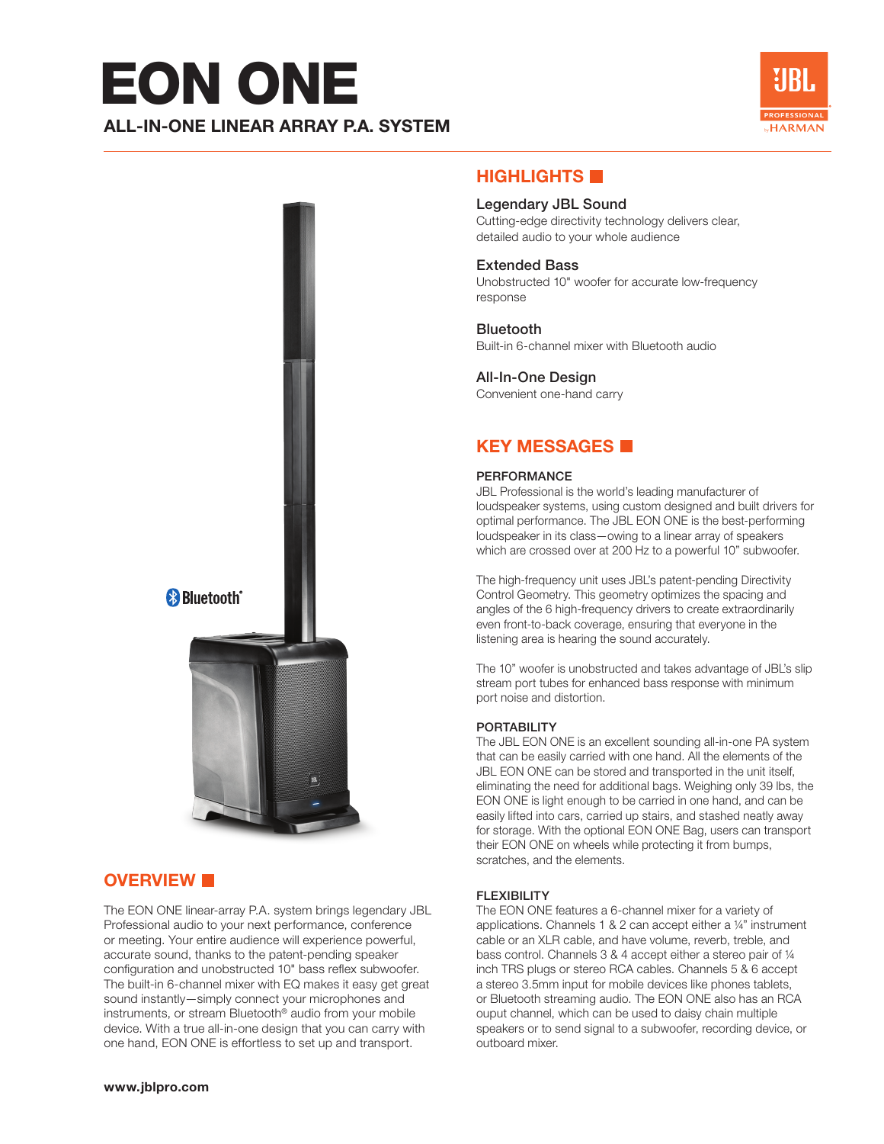# EON ONE ALL-IN-ONE LINEAR ARRAY P.A. SYSTEM





# OVERVIEW **N**

The EON ONE linear-array P.A. system brings legendary JBL Professional audio to your next performance, conference or meeting. Your entire audience will experience powerful, accurate sound, thanks to the patent-pending speaker configuration and unobstructed 10" bass reflex subwoofer. The built-in 6-channel mixer with EQ makes it easy get great sound instantly—simply connect your microphones and instruments, or stream Bluetooth® audio from your mobile device. With a true all-in-one design that you can carry with one hand, EON ONE is effortless to set up and transport.

# HIGHLIGHTS **N**

Legendary JBL Sound

Cutting-edge directivity technology delivers clear, detailed audio to your whole audience

#### Extended Bass

Unobstructed 10" woofer for accurate low-frequency response

Bluetooth Built-in 6-channel mixer with Bluetooth audio

## All-In-One Design

Convenient one-hand carry

# **KEY MESSAGES**

#### PERFORMANCE

JBL Professional is the world's leading manufacturer of loudspeaker systems, using custom designed and built drivers for optimal performance. The JBL EON ONE is the best-performing loudspeaker in its class—owing to a linear array of speakers which are crossed over at 200 Hz to a powerful 10" subwoofer.

The high-frequency unit uses JBL's patent-pending Directivity Control Geometry. This geometry optimizes the spacing and angles of the 6 high-frequency drivers to create extraordinarily even front-to-back coverage, ensuring that everyone in the listening area is hearing the sound accurately.

The 10" woofer is unobstructed and takes advantage of JBL's slip stream port tubes for enhanced bass response with minimum port noise and distortion.

#### PORTABILITY

The JBL EON ONE is an excellent sounding all-in-one PA system that can be easily carried with one hand. All the elements of the JBL EON ONE can be stored and transported in the unit itself, eliminating the need for additional bags. Weighing only 39 lbs, the EON ONE is light enough to be carried in one hand, and can be easily lifted into cars, carried up stairs, and stashed neatly away for storage. With the optional EON ONE Bag, users can transport their EON ONE on wheels while protecting it from bumps, scratches, and the elements.

#### FLEXIBILITY

The EON ONE features a 6-channel mixer for a variety of applications. Channels 1 & 2 can accept either a ¼" instrument cable or an XLR cable, and have volume, reverb, treble, and bass control. Channels 3 & 4 accept either a stereo pair of ¼ inch TRS plugs or stereo RCA cables. Channels 5 & 6 accept a stereo 3.5mm input for mobile devices like phones tablets, or Bluetooth streaming audio. The EON ONE also has an RCA ouput channel, which can be used to daisy chain multiple speakers or to send signal to a subwoofer, recording device, or outboard mixer.